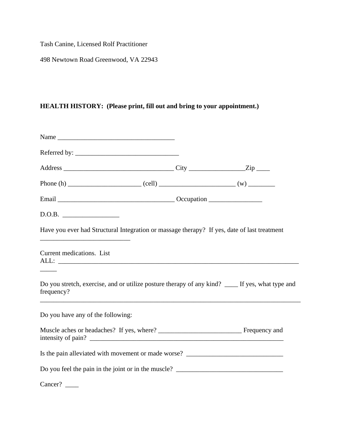Tash Canine, Licensed Rolf Practitioner

498 Newtown Road Greenwood, VA 22943

## **HEALTH HISTORY: (Please print, fill out and bring to your appointment.)**

| D.O.B.                                                                                                                                                                                                               |  |
|----------------------------------------------------------------------------------------------------------------------------------------------------------------------------------------------------------------------|--|
| Have you ever had Structural Integration or massage therapy? If yes, date of last treatment<br><u> 2008 - Jan James James James James James James James James James James James James James James James James Ja</u> |  |
| Current medications. List                                                                                                                                                                                            |  |
| Do you stretch, exercise, and or utilize posture therapy of any kind? ____ If yes, what type and<br>frequency?                                                                                                       |  |
| Do you have any of the following:                                                                                                                                                                                    |  |
|                                                                                                                                                                                                                      |  |
| Is the pain alleviated with movement or made worse? ____________________________                                                                                                                                     |  |
| Do you feel the pain in the joint or in the muscle? _____________________________                                                                                                                                    |  |
| Cancer?                                                                                                                                                                                                              |  |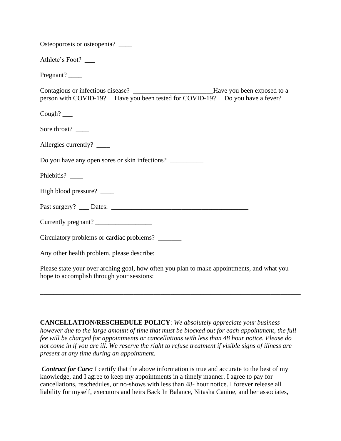| Osteoporosis or osteopenia? _______                                                                                                                                     |
|-------------------------------------------------------------------------------------------------------------------------------------------------------------------------|
| Athlete's Foot? ___                                                                                                                                                     |
| Pregnant? _______                                                                                                                                                       |
| Contagious or infectious disease? __________________________Have you been exposed to a<br>person with COVID-19? Have you been tested for COVID-19? Do you have a fever? |
| Cough? $\_\_$                                                                                                                                                           |
|                                                                                                                                                                         |
| Allergies currently? _____                                                                                                                                              |
| Do you have any open sores or skin infections?                                                                                                                          |
| Phlebitis?                                                                                                                                                              |
| High blood pressure?                                                                                                                                                    |
|                                                                                                                                                                         |
| Currently pregnant?                                                                                                                                                     |
| Circulatory problems or cardiac problems?                                                                                                                               |
| Any other health problem, please describe:                                                                                                                              |

Please state your over arching goal, how often you plan to make appointments, and what you hope to accomplish through your sessions:

\_\_\_\_\_\_\_\_\_\_\_\_\_\_\_\_\_\_\_\_\_\_\_\_\_\_\_\_\_\_\_\_\_\_\_\_\_\_\_\_\_\_\_\_\_\_\_\_\_\_\_\_\_\_\_\_\_\_\_\_\_\_\_\_\_\_\_\_\_\_\_\_\_\_\_\_\_\_

**CANCELLATION/RESCHEDULE POLICY**: *We absolutely appreciate your business however due to the large amount of time that must be blocked out for each appointment, the full fee will be charged for appointments or cancellations with less than 48 hour notice. Please do not come in if you are ill. We reserve the right to refuse treatment if visible signs of illness are present at any time during an appointment.*

*Contract for Care:* I certify that the above information is true and accurate to the best of my knowledge, and I agree to keep my appointments in a timely manner. I agree to pay for cancellations, reschedules, or no-shows with less than 48- hour notice. I forever release all liability for myself, executors and heirs Back In Balance, Nitasha Canine, and her associates,